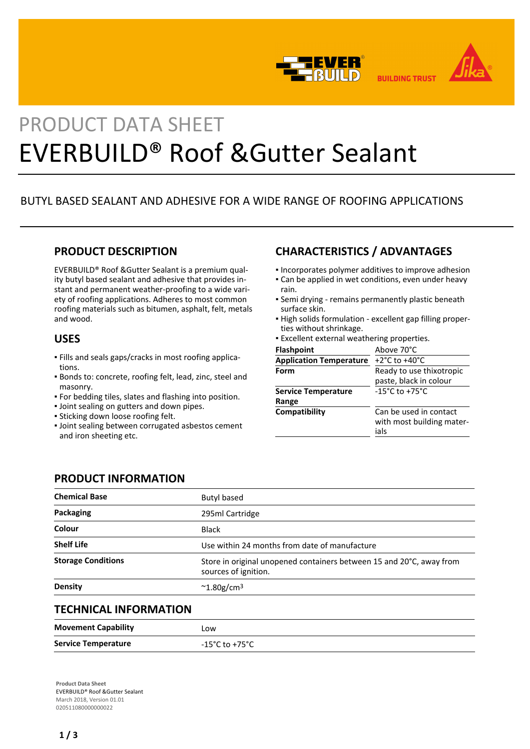



# PRODUCT DATA SHEET EVERBUILD® Roof &Gutter Sealant

# BUTYL BASED SEALANT AND ADHESIVE FOR A WIDE RANGE OF ROOFING APPLICATIONS

# **PRODUCT DESCRIPTION**

EVERBUILD® Roof &Gutter Sealant is a premium quality butyl based sealant and adhesive that provides instant and permanent weather-proofing to a wide variety of roofing applications. Adheres to most common roofing materials such as bitumen, asphalt, felt, metals and wood.

## **USES**

- Fills and seals gaps/cracks in most roofing applica-▪ tions.
- Bonds to: concrete, roofing felt, lead, zinc, steel and masonry.
- For bedding tiles, slates and flashing into position.
- Joint sealing on gutters and down pipes.
- Sticking down loose roofing felt.
- Joint sealing between corrugated asbestos cement and iron sheeting etc.

# **CHARACTERISTICS / ADVANTAGES**

- **.** Incorporates polymer additives to improve adhesion
- Can be applied in wet conditions, even under heavy rain.
- Semi drying remains permanently plastic beneath surface skin.
- High solids formulation excellent gap filling proper-▪ ties without shrinkage.
- **Excellent external weathering properties.**

| <b>Flashpoint</b>              | Above 70°C                                                  |
|--------------------------------|-------------------------------------------------------------|
| <b>Application Temperature</b> | +2 $^{\circ}$ C to +40 $^{\circ}$ C                         |
| Form                           | Ready to use thixotropic                                    |
|                                | paste, black in colour                                      |
| <b>Service Temperature</b>     | $-15^{\circ}$ C to $+75^{\circ}$ C                          |
| Range                          |                                                             |
| Compatibility                  | Can be used in contact<br>with most building mater-<br>ials |

## **PRODUCT INFORMATION**

| <b>Chemical Base</b>      | Butyl based                                                                                  |
|---------------------------|----------------------------------------------------------------------------------------------|
| Packaging                 | 295ml Cartridge                                                                              |
| Colour                    | <b>Black</b>                                                                                 |
| <b>Shelf Life</b>         | Use within 24 months from date of manufacture                                                |
| <b>Storage Conditions</b> | Store in original unopened containers between 15 and 20°C, away from<br>sources of ignition. |
| <b>Density</b>            | $\sim$ 1.80g/cm <sup>3</sup>                                                                 |
|                           |                                                                                              |

## **TECHNICAL INFORMATION**

| <b>Movement Capability</b> | LOW            |
|----------------------------|----------------|
| <b>Service Temperature</b> | -15°C to +75°C |

**Product Data Sheet** EVERBUILD® Roof &Gutter Sealant March 2018, Version 01.01 020511080000000022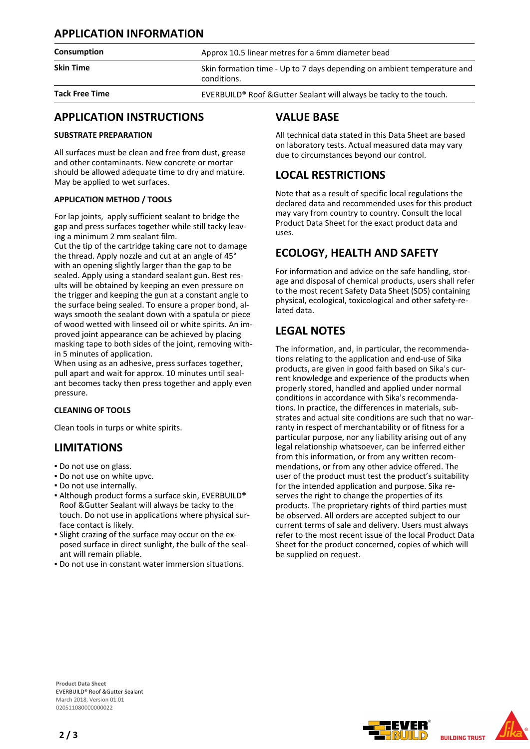## **APPLICATION INFORMATION**

#### **Consumption Approx 10.5 linear metres for a 6mm diameter bead**

**Skin Time** Skin formation time - Up to 7 days depending on ambient temperature and conditions.

**Tack Free Time EVERBUILD®** Roof &Gutter Sealant will always be tacky to the touch.

## **APPLICATION INSTRUCTIONS**

#### **SUBSTRATE PREPARATION**

All surfaces must be clean and free from dust, grease and other contaminants. New concrete or mortar should be allowed adequate time to dry and mature. May be applied to wet surfaces.

#### **APPLICATION METHOD / TOOLS**

For lap joints, apply sufficient sealant to bridge the gap and press surfaces together while still tacky leaving a minimum 2 mm sealant film.

Cut the tip of the cartridge taking care not to damage the thread. Apply nozzle and cut at an angle of 45° with an opening slightly larger than the gap to be sealed. Apply using a standard sealant gun. Best results will be obtained by keeping an even pressure on the trigger and keeping the gun at a constant angle to the surface being sealed. To ensure a proper bond, always smooth the sealant down with a spatula or piece of wood wetted with linseed oil or white spirits. An improved joint appearance can be achieved by placing masking tape to both sides of the joint, removing within 5 minutes of application.

When using as an adhesive, press surfaces together, pull apart and wait for approx. 10 minutes until sealant becomes tacky then press together and apply even pressure.

#### **CLEANING OF TOOLS**

Clean tools in turps or white spirits.

## **LIMITATIONS**

- Do not use on glass.
- Do not use on white upvc.
- Do not use internally.
- Although product forms a surface skin, EVERBUILD® Roof &Gutter Sealant will always be tacky to the touch. Do not use in applications where physical surface contact is likely.
- Slight crazing of the surface may occur on the ex-▪ posed surface in direct sunlight, the bulk of the sealant will remain pliable.
- Do not use in constant water immersion situations.

## **VALUE BASE**

All technical data stated in this Data Sheet are based on laboratory tests. Actual measured data may vary due to circumstances beyond our control.

# **LOCAL RESTRICTIONS**

Note that as a result of specific local regulations the declared data and recommended uses for this product may vary from country to country. Consult the local Product Data Sheet for the exact product data and uses.

# **ECOLOGY, HEALTH AND SAFETY**

For information and advice on the safe handling, storage and disposal of chemical products, users shall refer to the most recent Safety Data Sheet (SDS) containing physical, ecological, toxicological and other safety-related data.

# **LEGAL NOTES**

The information, and, in particular, the recommendations relating to the application and end-use of Sika products, are given in good faith based on Sika's current knowledge and experience of the products when properly stored, handled and applied under normal conditions in accordance with Sika's recommendations. In practice, the differences in materials, substrates and actual site conditions are such that no warranty in respect of merchantability or of fitness for a particular purpose, nor any liability arising out of any legal relationship whatsoever, can be inferred either from this information, or from any written recommendations, or from any other advice offered. The user of the product must test the product's suitability for the intended application and purpose. Sika reserves the right to change the properties of its products. The proprietary rights of third parties must be observed. All orders are accepted subject to our current terms of sale and delivery. Users must always refer to the most recent issue of the local Product Data Sheet for the product concerned, copies of which will be supplied on request.



**Product Data Sheet** EVERBUILD® Roof &Gutter Sealant March 2018, Version 01.01 020511080000000022